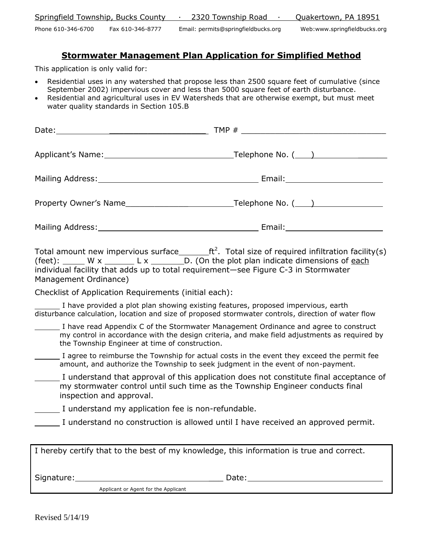| Springfield Township, Bucks County     | 2320 Township Road                  | Quakertown, PA 18951         |
|----------------------------------------|-------------------------------------|------------------------------|
| Phone 610-346-6700<br>Fax 610-346-8777 | Email: permits@springfieldbucks.org | Web:www.springfieldbucks.org |

# **Stormwater Management Plan Application for Simplified Method**

This application is only valid for:

- Residential uses in any watershed that propose less than 2500 square feet of cumulative (since September 2002) impervious cover and less than 5000 square feet of earth disturbance.
- Residential and agricultural uses in EV Watersheds that are otherwise exempt, but must meet water quality standards in Section 105.B

Total amount new impervious surface **ft**<sup>2</sup>. Total size of required infiltration facility(s) (feet):  $W \times 2 = L \times 2$  D. (On the plot plan indicate dimensions of each individual facility that adds up to total requirement—see Figure C-3 in Stormwater Management Ordinance)

Checklist of Application Requirements (initial each):

I have provided a plot plan showing existing features, proposed impervious, earth disturbance calculation, location and size of proposed stormwater controls, direction of water flow

- I have read Appendix C of the Stormwater Management Ordinance and agree to construct my control in accordance with the design criteria, and make field adjustments as required by the Township Engineer at time of construction.
- I agree to reimburse the Township for actual costs in the event they exceed the permit fee amount, and authorize the Township to seek judgment in the event of non-payment.
	- I understand that approval of this application does not constitute final acceptance of my stormwater control until such time as the Township Engineer conducts final inspection and approval.

I understand my application fee is non-refundable.

I understand no construction is allowed until I have received an approved permit.

|            |                                      | I hereby certify that to the best of my knowledge, this information is true and correct. |
|------------|--------------------------------------|------------------------------------------------------------------------------------------|
| Signature: |                                      | Date:                                                                                    |
|            | Applicant or Agent for the Applicant |                                                                                          |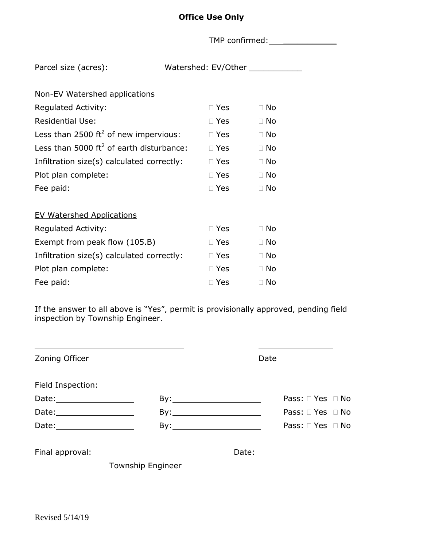|                                                                        |               | TMP confirmed: TMP confirmed: |  |
|------------------------------------------------------------------------|---------------|-------------------------------|--|
| Parcel size (acres): ______________ Watershed: EV/Other ______________ |               |                               |  |
| Non-EV Watershed applications                                          |               |                               |  |
| <b>Regulated Activity:</b>                                             | $\Box$ Yes    | $\Box$ No                     |  |
| <b>Residential Use:</b>                                                | $\square$ Yes | $\Box$ No                     |  |
| Less than 2500 ft <sup>2</sup> of new impervious:                      | $\Box$ Yes    | $\Box$ No                     |  |
| Less than 5000 ft <sup>2</sup> of earth disturbance: $\Box$ Yes        |               | $\Box$ No                     |  |
| Infiltration size(s) calculated correctly: $\Box$ Yes                  |               | $\Box$ No                     |  |
| Plot plan complete:                                                    | $\Box$ Yes    | $\Box$ No                     |  |
| Fee paid:                                                              | $\square$ Yes | $\Box$ No                     |  |
| <b>EV Watershed Applications</b>                                       |               |                               |  |
| <b>Regulated Activity:</b>                                             | $\Box$ Yes    | $\Box$ No                     |  |
| Exempt from peak flow (105.B)                                          | $\Box$ Yes    | $\Box$ No                     |  |
| Infiltration size(s) calculated correctly:                             | $\Box$ Yes    | $\Box$ No                     |  |
| Plot plan complete:                                                    | $\square$ Yes | $\Box$ No                     |  |
| Fee paid:                                                              | $\square$ Yes | $\Box$ No                     |  |

If the answer to all above is "Yes", permit is provisionally approved, pending field inspection by Township Engineer.

| Zoning Officer                |                          | Date |                            |
|-------------------------------|--------------------------|------|----------------------------|
| Field Inspection:             |                          |      |                            |
| Date: _______________________ |                          |      | Pass: $\Box$ Yes $\Box$ No |
| Date:______________________   |                          | By:  | Pass: $\Box$ Yes $\Box$ No |
| Date:____________________     |                          |      | Pass: $\Box$ Yes $\Box$ No |
|                               |                          |      | Date: __________________   |
|                               | <b>Township Engineer</b> |      |                            |

**Office Use Only**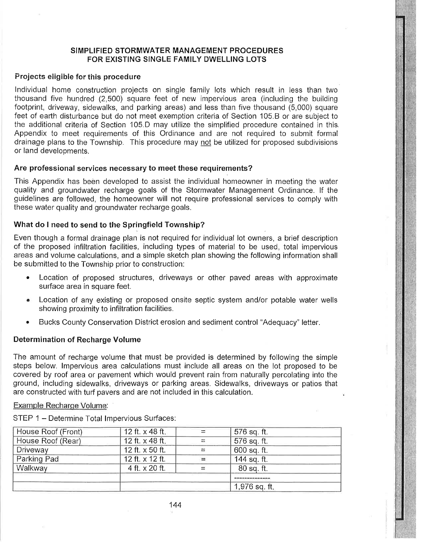# SIMPLIFIED STORMWATER MANAGEMENT PROCEDURES FOR EXISTING SINGLE FAMILY DWELLING LOTS

## Projects eligible for this procedure

Individual home construction projects on single family lots which result in less than two thousand five hundred (2,500) square feet of new impervious area (including the building footprint, driveway, sidewalks, and parking areas) and less than five thousand (5,000) square feet of earth disturbance but do not meet exemption criteria of Section 105.B or are subject to the additional criteria of Section 105.D may utilize the simplified procedure contained in this. Appendix to meet requirements of this Ordinance and are not required to submit formal drainage plans to the Township. This procedure may not be utilized for proposed subdivisions or land developments.

## Are professional services necessary to meet these requirements?

This Appendix has been developed to assist the individual homeowner in meeting the water quality and groundwater recharge goals of the Stormwater Management Ordinance. If the guidelines are followed, the homeowner will not require professional services to comply with these water quality and groundwater recharge goals.

# What do I need to send to the Springfield Township?

Even though a formal drainage plan is not required for individual lot owners, a brief description of the proposed infiltration facilities, including types of material to be used, total impervious areas and volume calculations, and a simple sketch plan showing the following information shall be submitted to the Township prior to construction:

- Location of proposed structures, driveways or other paved areas with approximate surface area in square feet.
- Location of any existing or proposed onsite septic system and/or potable water wells showing proximity to infiltration facilities.
- Bucks County Conservation District erosion and sediment control "Adequacy" letter.

#### **Determination of Recharge Volume**

The amount of recharge volume that must be provided is determined by following the simple steps below. Impervious area calculations must include all areas on the lot proposed to be covered by roof area or pavement which would prevent rain from naturally percolating into the ground, including sidewalks, driveways or parking areas. Sidewalks, driveways or patios that are constructed with turf pavers and are not included in this calculation.

#### Example Recharge Volume.

STEP 1 - Determine Total Impervious Surfaces:

| House Roof (Front) | 12 ft. x 48 ft. |          | 576 sq. ft.   |
|--------------------|-----------------|----------|---------------|
| House Roof (Rear)  | 12 ft. x 48 ft. |          | 576 sq. ft.   |
| Driveway           | 12 ft. x 50 ft. | $\equiv$ | 600 sq. ft.   |
| Parking Pad        | 12 ft. x 12 ft. |          | 144 sq. ft.   |
| Walkway            | 4 ft. x 20 ft.  |          | 80 sq. ft.    |
|                    |                 |          |               |
|                    |                 |          | 1,976 sq. ft. |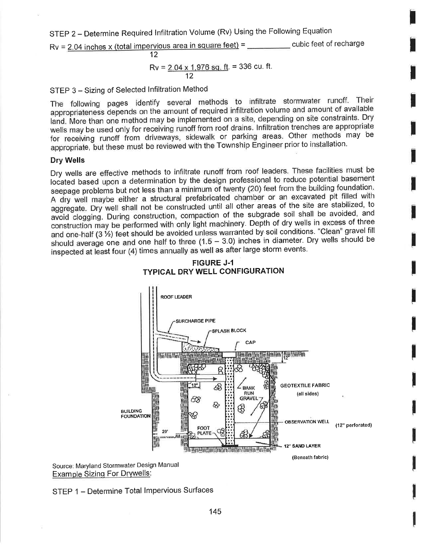STEP 2 - Determine Required Infiltration Volume (Rv) Using the Following Equation

 $Rv = 2.04$  inches x (total impervious area in square feet) = \_\_\_\_\_\_\_\_\_ cubic feet of recharge  $12<sub>2</sub>$ 

$$
Rv = \frac{2.04 \times 1.976 \text{ sq. ft}}{12} = 336 \text{ cu. ft}.
$$

STEP 3 - Sizing of Selected Infiltration Method

The following pages identify several methods to infiltrate stormwater runoff. Their appropriateness depends on the amount of required infiltration volume and amount of available land. More than one method may be implemented on a site, depending on site constraints. Dry wells may be used only for receiving runoff from roof drains. Infiltration trenches are appropriate for receiving runoff from driveways, sidewalk or parking areas. Other methods may be appropriate, but these must be reviewed with the Township Engineer prior to installation.

#### **Dry Wells**

Dry wells are effective methods to infiltrate runoff from roof leaders. These facilities must be located based upon a determination by the design professional to reduce potential basement seepage problems but not less than a minimum of twenty (20) feet from the building foundation. A dry well maybe either a structural prefabricated chamber or an excavated pit filled with aggregate. Dry well shall not be constructed until all other areas of the site are stabilized, to avoid clogging. During construction, compaction of the subgrade soil shall be avoided, and construction may be performed with only light machinery. Depth of dry wells in excess of three and one-half (3 1/2) feet should be avoided unless warranted by soil conditions. "Clean" gravel fill should average one and one half to three  $(1.5 - 3.0)$  inches in diameter. Dry wells should be inspected at least four (4) times annually as well as after large storm events.



# **FIGURE J-1 TYPICAL DRY WELL CONFIGURATION**

Source: Maryland Stormwater Design Manual **Example Sizing For Drywells:** 

STEP 1 - Determine Total Impervious Surfaces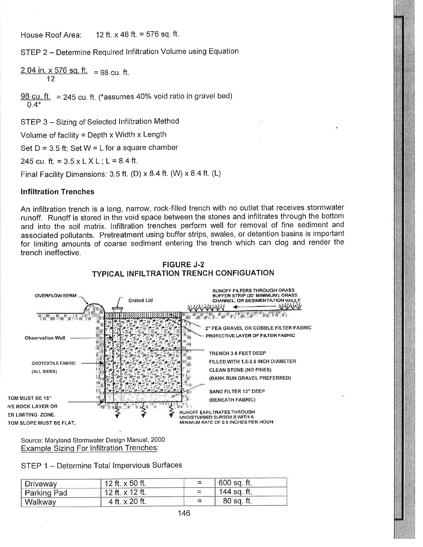12 ft.  $\times$  48 ft. = 576 sq. ft. House Roof Area:

STEP 2 - Determine Required Infiltration Volume using Equation

2.04 in. x 576 sq. ft. = 98 cu. ft.  $12$ 

 $98$  cu. ft. = 245 cu. ft. (\*assumes 40% void ratio in gravel bed)  $0.4*$ 

STEP 3 - Sizing of Selected Infiltration Method

Volume of facility = Depth x Width x Length

Set  $D = 3.5$  ft; Set  $W = L$  for a square chamber

245 cu. ft. =  $3.5 \times L X L$ ; L =  $8.4$  ft.

Final Facility Dimensions: 3.5 ft. (D) x 8.4 ft. (W) x 8.4 ft. (L)

#### **Infiltration Trenches**

An infiltration trench is a long, narrow, rock-filled trench with no outlet that receives stormwater runoff. Runoff is stored in the void space between the stones and infiltrates through the bottom and into the soil matrix. Infiltration trenches perform well for removal of fine sediment and associated pollutants. Pretreatment using buffer strips, swales, or detention basins is important for limiting amounts of coarse sediment entering the trench which can clog and render the trench ineffective.





Source: Maryland Stormwater Design Manual, 2000 **Example Sizing For Infiltration Trenches:** 

STEP 1 - Determine Total Impervious Surfaces

| 'Driveway   | 12 ft. x 50 ft.        | 600 sq. ft. |  |
|-------------|------------------------|-------------|--|
| Parking Pad | 12 ft. $\times$ 12 ft. | 144 sq. ft. |  |
| Walkway     | 4 ft. x 20 ft.         | 80 sq. ft.  |  |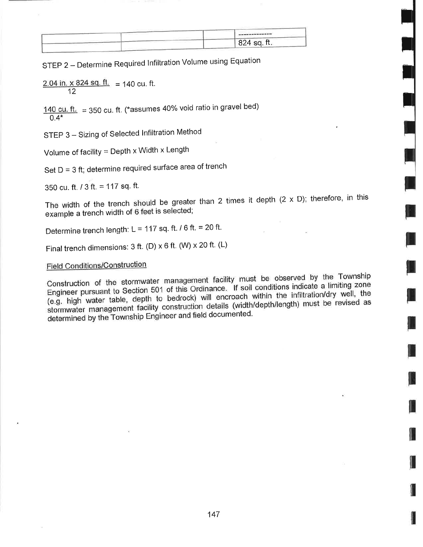| The company was not the four and was not the com- |
|---------------------------------------------------|
| 824 sq. ft.                                       |
|                                                   |

STEP 2 - Determine Required Infiltration Volume using Equation

2.04 in. x 824 sq. ft.  $=$  140 cu. ft.  $12$ 

 $140$  cu. ft. = 350 cu. ft. (\*assumes 40% void ratio in gravel bed)  $0.4*$ 

STEP 3 - Sizing of Selected Infiltration Method

Volume of facility = Depth x Width x Length

Set D = 3 ft; determine required surface area of trench

350 cu. ft.  $/$  3 ft. = 117 sq. ft.

The width of the trench should be greater than 2 times it depth  $(2 \times D)$ ; therefore, in this example a trench width of 6 feet is selected;

Determine trench length: L = 117 sq. ft. / 6 ft. = 20 ft.

Final trench dimensions: 3 ft. (D) x 6 ft. (W) x 20 ft. (L)

**Field Conditions/Construction** 

Construction of the stormwater management facility must be observed by the Township Engineer pursuant to Section 501 of this Ordinance. If soil conditions indicate a limiting zone (e.g. high water table, depth to bedrock) will encroach within the infiltration/dry well, the stormwater management facility construction details (width/depth/length) must be revised as determined by the Township Engineer and field documented.